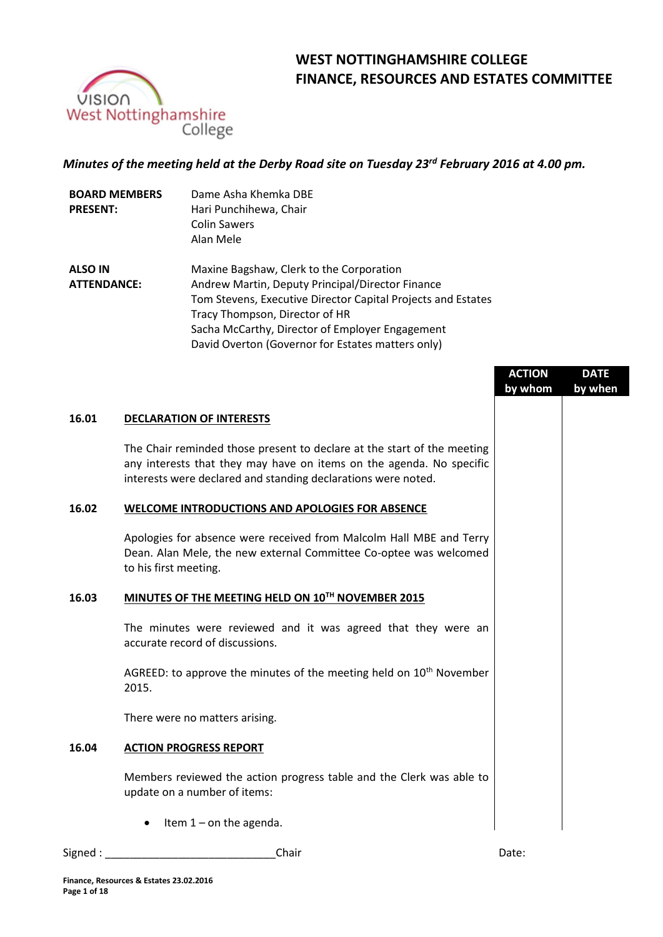

# **WEST NOTTINGHAMSHIRE COLLEGE FINANCE, RESOURCES AND ESTATES COMMITTEE**

## *Minutes of the meeting held at the Derby Road site on Tuesday 23rd February 2016 at 4.00 pm.*

| <b>BOARD MEMBERS</b> | Dame Asha Khemka DBE   |
|----------------------|------------------------|
| <b>PRESENT:</b>      | Hari Punchihewa, Chair |
|                      | <b>Colin Sawers</b>    |
|                      | Alan Mele              |
|                      |                        |

**ALSO IN ATTENDANCE:** Maxine Bagshaw, Clerk to the Corporation Andrew Martin, Deputy Principal/Director Finance Tom Stevens, Executive Director Capital Projects and Estates Tracy Thompson, Director of HR Sacha McCarthy, Director of Employer Engagement David Overton (Governor for Estates matters only)

|       |                                                                                                                                                                                                                  | <b>ACTION</b><br>by whom | <b>DATE</b><br>by when |
|-------|------------------------------------------------------------------------------------------------------------------------------------------------------------------------------------------------------------------|--------------------------|------------------------|
| 16.01 | <b>DECLARATION OF INTERESTS</b>                                                                                                                                                                                  |                          |                        |
|       | The Chair reminded those present to declare at the start of the meeting<br>any interests that they may have on items on the agenda. No specific<br>interests were declared and standing declarations were noted. |                          |                        |
| 16.02 | WELCOME INTRODUCTIONS AND APOLOGIES FOR ABSENCE                                                                                                                                                                  |                          |                        |
|       | Apologies for absence were received from Malcolm Hall MBE and Terry<br>Dean. Alan Mele, the new external Committee Co-optee was welcomed<br>to his first meeting.                                                |                          |                        |
| 16.03 | MINUTES OF THE MEETING HELD ON 10TH NOVEMBER 2015                                                                                                                                                                |                          |                        |
|       | The minutes were reviewed and it was agreed that they were an<br>accurate record of discussions.                                                                                                                 |                          |                        |
|       | AGREED: to approve the minutes of the meeting held on 10 <sup>th</sup> November<br>2015.                                                                                                                         |                          |                        |
|       | There were no matters arising.                                                                                                                                                                                   |                          |                        |
| 16.04 | <b>ACTION PROGRESS REPORT</b>                                                                                                                                                                                    |                          |                        |
|       | Members reviewed the action progress table and the Clerk was able to<br>update on a number of items:                                                                                                             |                          |                        |
|       | Item $1$ – on the agenda.                                                                                                                                                                                        |                          |                        |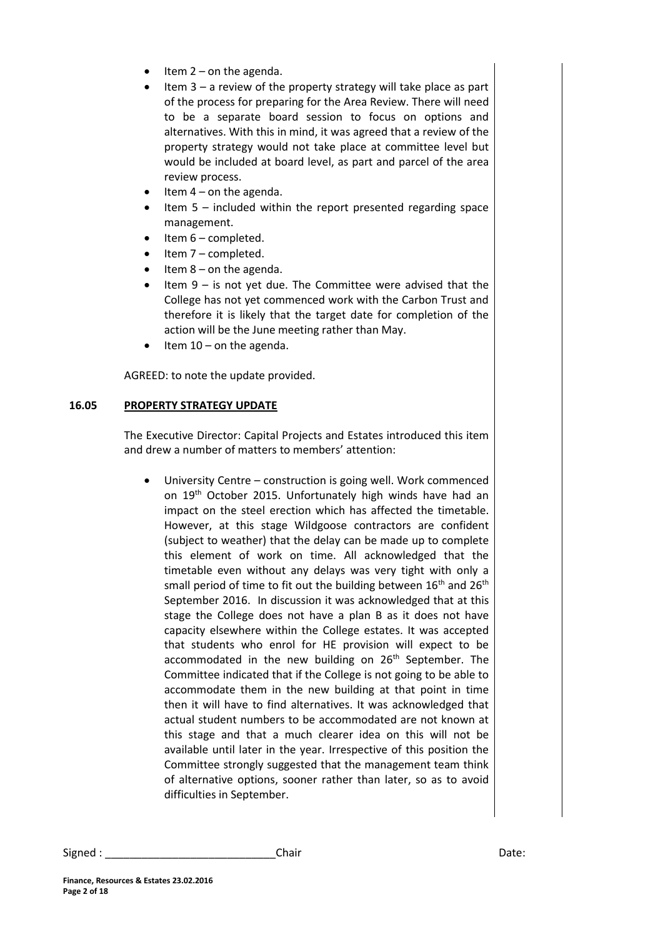- Item 2 on the agenda.
- Item 3 a review of the property strategy will take place as part of the process for preparing for the Area Review. There will need to be a separate board session to focus on options and alternatives. With this in mind, it was agreed that a review of the property strategy would not take place at committee level but would be included at board level, as part and parcel of the area review process.
- Item 4 on the agenda.
- Item 5 included within the report presented regarding space management.
- Item 6 completed.
- Item 7 completed.
- Item 8 on the agenda.
- Item 9 is not yet due. The Committee were advised that the College has not yet commenced work with the Carbon Trust and therefore it is likely that the target date for completion of the action will be the June meeting rather than May.
- Item 10 on the agenda.

AGREED: to note the update provided.

#### **16.05 PROPERTY STRATEGY UPDATE**

The Executive Director: Capital Projects and Estates introduced this item and drew a number of matters to members' attention:

 University Centre – construction is going well. Work commenced on 19<sup>th</sup> October 2015. Unfortunately high winds have had an impact on the steel erection which has affected the timetable. However, at this stage Wildgoose contractors are confident (subject to weather) that the delay can be made up to complete this element of work on time. All acknowledged that the timetable even without any delays was very tight with only a small period of time to fit out the building between  $16<sup>th</sup>$  and  $26<sup>th</sup>$ September 2016. In discussion it was acknowledged that at this stage the College does not have a plan B as it does not have capacity elsewhere within the College estates. It was accepted that students who enrol for HE provision will expect to be accommodated in the new building on 26<sup>th</sup> September. The Committee indicated that if the College is not going to be able to accommodate them in the new building at that point in time then it will have to find alternatives. It was acknowledged that actual student numbers to be accommodated are not known at this stage and that a much clearer idea on this will not be available until later in the year. Irrespective of this position the Committee strongly suggested that the management team think of alternative options, sooner rather than later, so as to avoid difficulties in September.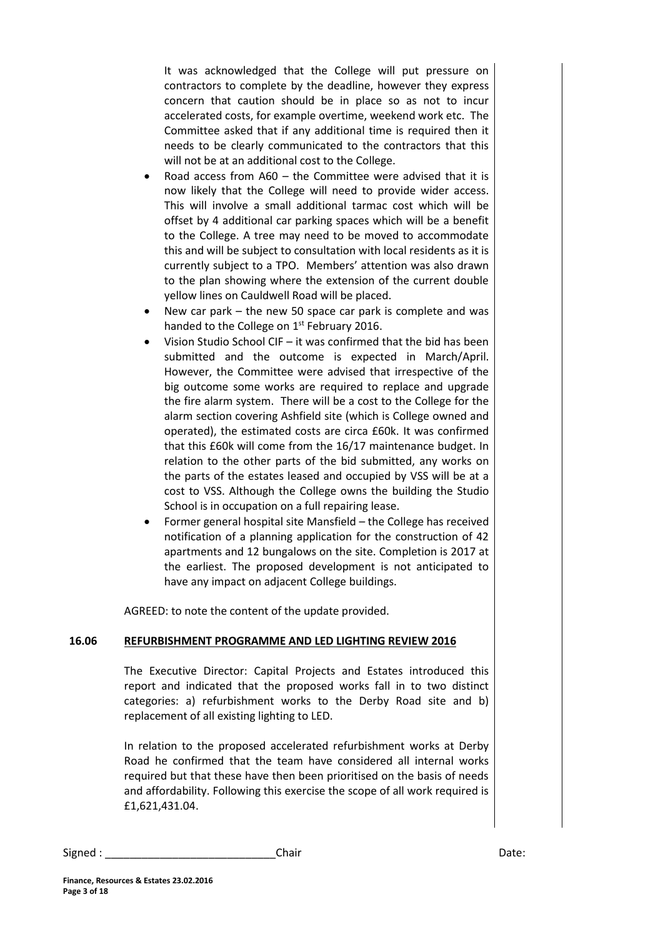It was acknowledged that the College will put pressure on contractors to complete by the deadline, however they express concern that caution should be in place so as not to incur accelerated costs, for example overtime, weekend work etc. The Committee asked that if any additional time is required then it needs to be clearly communicated to the contractors that this will not be at an additional cost to the College.

- Road access from A60 the Committee were advised that it is now likely that the College will need to provide wider access. This will involve a small additional tarmac cost which will be offset by 4 additional car parking spaces which will be a benefit to the College. A tree may need to be moved to accommodate this and will be subject to consultation with local residents as it is currently subject to a TPO. Members' attention was also drawn to the plan showing where the extension of the current double yellow lines on Cauldwell Road will be placed.
- New car park the new 50 space car park is complete and was handed to the College on 1<sup>st</sup> February 2016.
- Vision Studio School CIF it was confirmed that the bid has been submitted and the outcome is expected in March/April. However, the Committee were advised that irrespective of the big outcome some works are required to replace and upgrade the fire alarm system. There will be a cost to the College for the alarm section covering Ashfield site (which is College owned and operated), the estimated costs are circa £60k. It was confirmed that this £60k will come from the 16/17 maintenance budget. In relation to the other parts of the bid submitted, any works on the parts of the estates leased and occupied by VSS will be at a cost to VSS. Although the College owns the building the Studio School is in occupation on a full repairing lease.
- Former general hospital site Mansfield the College has received notification of a planning application for the construction of 42 apartments and 12 bungalows on the site. Completion is 2017 at the earliest. The proposed development is not anticipated to have any impact on adjacent College buildings.

AGREED: to note the content of the update provided.

#### **16.06 REFURBISHMENT PROGRAMME AND LED LIGHTING REVIEW 2016**

The Executive Director: Capital Projects and Estates introduced this report and indicated that the proposed works fall in to two distinct categories: a) refurbishment works to the Derby Road site and b) replacement of all existing lighting to LED.

In relation to the proposed accelerated refurbishment works at Derby Road he confirmed that the team have considered all internal works required but that these have then been prioritised on the basis of needs and affordability. Following this exercise the scope of all work required is £1,621,431.04.

| Signed: | Chair | Date: |
|---------|-------|-------|
|---------|-------|-------|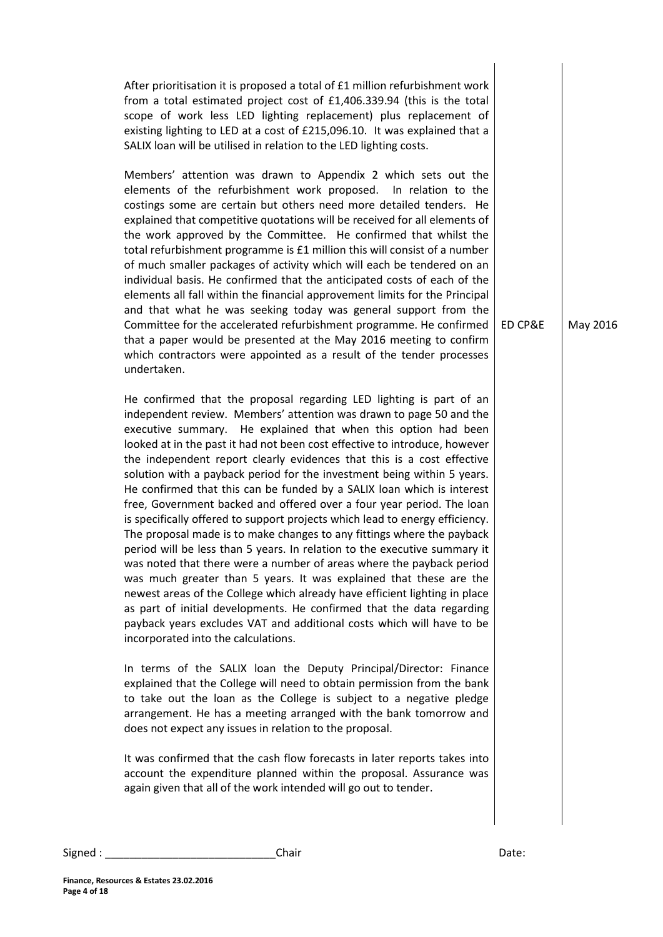After prioritisation it is proposed a total of £1 million refurbishment work from a total estimated project cost of £1,406.339.94 (this is the total scope of work less LED lighting replacement) plus replacement of existing lighting to LED at a cost of £215,096.10. It was explained that a SALIX loan will be utilised in relation to the LED lighting costs.

Members' attention was drawn to Appendix 2 which sets out the elements of the refurbishment work proposed. In relation to the costings some are certain but others need more detailed tenders. He explained that competitive quotations will be received for all elements of the work approved by the Committee. He confirmed that whilst the total refurbishment programme is £1 million this will consist of a number of much smaller packages of activity which will each be tendered on an individual basis. He confirmed that the anticipated costs of each of the elements all fall within the financial approvement limits for the Principal and that what he was seeking today was general support from the Committee for the accelerated refurbishment programme. He confirmed that a paper would be presented at the May 2016 meeting to confirm which contractors were appointed as a result of the tender processes undertaken.

He confirmed that the proposal regarding LED lighting is part of an independent review. Members' attention was drawn to page 50 and the executive summary. He explained that when this option had been looked at in the past it had not been cost effective to introduce, however the independent report clearly evidences that this is a cost effective solution with a payback period for the investment being within 5 years. He confirmed that this can be funded by a SALIX loan which is interest free, Government backed and offered over a four year period. The loan is specifically offered to support projects which lead to energy efficiency. The proposal made is to make changes to any fittings where the payback period will be less than 5 years. In relation to the executive summary it was noted that there were a number of areas where the payback period was much greater than 5 years. It was explained that these are the newest areas of the College which already have efficient lighting in place as part of initial developments. He confirmed that the data regarding payback years excludes VAT and additional costs which will have to be incorporated into the calculations.

In terms of the SALIX loan the Deputy Principal/Director: Finance explained that the College will need to obtain permission from the bank to take out the loan as the College is subject to a negative pledge arrangement. He has a meeting arranged with the bank tomorrow and does not expect any issues in relation to the proposal.

It was confirmed that the cash flow forecasts in later reports takes into account the expenditure planned within the proposal. Assurance was again given that all of the work intended will go out to tender.

Signed : \_\_\_\_\_\_\_\_\_\_\_\_\_\_\_\_\_\_\_\_\_\_\_\_\_\_\_\_Chair Date:

ED CP&E | May 2016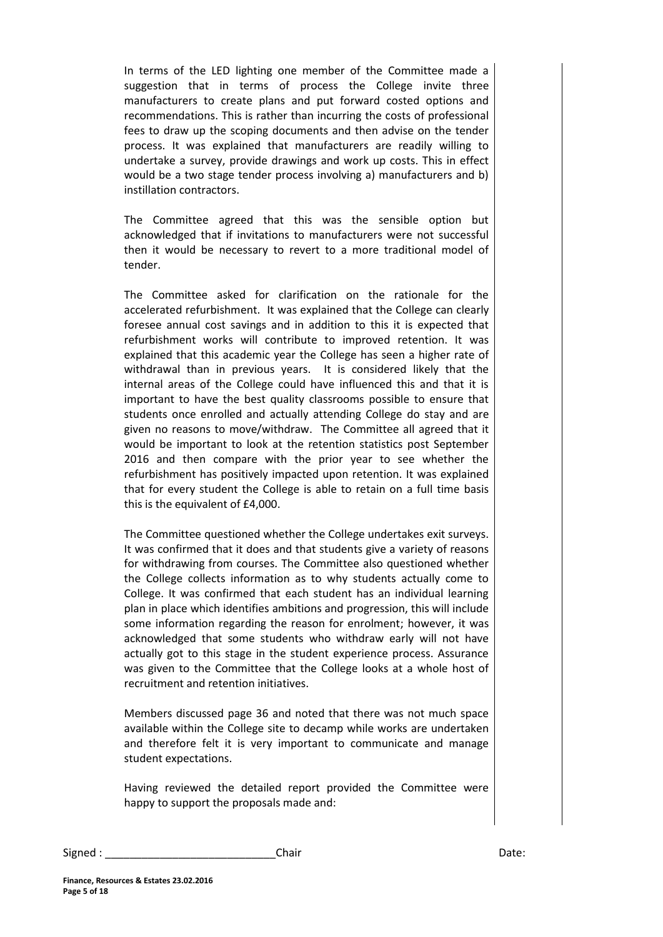In terms of the LED lighting one member of the Committee made a suggestion that in terms of process the College invite three manufacturers to create plans and put forward costed options and recommendations. This is rather than incurring the costs of professional fees to draw up the scoping documents and then advise on the tender process. It was explained that manufacturers are readily willing to undertake a survey, provide drawings and work up costs. This in effect would be a two stage tender process involving a) manufacturers and b) instillation contractors.

The Committee agreed that this was the sensible option but acknowledged that if invitations to manufacturers were not successful then it would be necessary to revert to a more traditional model of tender.

The Committee asked for clarification on the rationale for the accelerated refurbishment. It was explained that the College can clearly foresee annual cost savings and in addition to this it is expected that refurbishment works will contribute to improved retention. It was explained that this academic year the College has seen a higher rate of withdrawal than in previous years. It is considered likely that the internal areas of the College could have influenced this and that it is important to have the best quality classrooms possible to ensure that students once enrolled and actually attending College do stay and are given no reasons to move/withdraw. The Committee all agreed that it would be important to look at the retention statistics post September 2016 and then compare with the prior year to see whether the refurbishment has positively impacted upon retention. It was explained that for every student the College is able to retain on a full time basis this is the equivalent of £4,000.

The Committee questioned whether the College undertakes exit surveys. It was confirmed that it does and that students give a variety of reasons for withdrawing from courses. The Committee also questioned whether the College collects information as to why students actually come to College. It was confirmed that each student has an individual learning plan in place which identifies ambitions and progression, this will include some information regarding the reason for enrolment; however, it was acknowledged that some students who withdraw early will not have actually got to this stage in the student experience process. Assurance was given to the Committee that the College looks at a whole host of recruitment and retention initiatives.

Members discussed page 36 and noted that there was not much space available within the College site to decamp while works are undertaken and therefore felt it is very important to communicate and manage student expectations.

Having reviewed the detailed report provided the Committee were happy to support the proposals made and: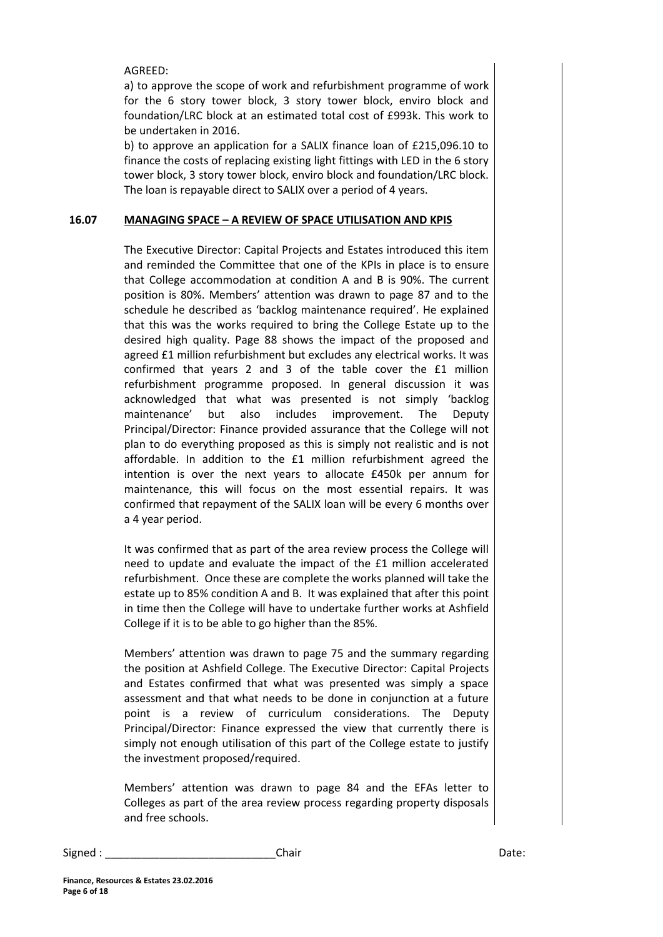AGREED:

a) to approve the scope of work and refurbishment programme of work for the 6 story tower block, 3 story tower block, enviro block and foundation/LRC block at an estimated total cost of £993k. This work to be undertaken in 2016.

b) to approve an application for a SALIX finance loan of £215,096.10 to finance the costs of replacing existing light fittings with LED in the 6 story tower block, 3 story tower block, enviro block and foundation/LRC block. The loan is repayable direct to SALIX over a period of 4 years.

### **16.07 MANAGING SPACE – A REVIEW OF SPACE UTILISATION AND KPIS**

The Executive Director: Capital Projects and Estates introduced this item and reminded the Committee that one of the KPIs in place is to ensure that College accommodation at condition A and B is 90%. The current position is 80%. Members' attention was drawn to page 87 and to the schedule he described as 'backlog maintenance required'. He explained that this was the works required to bring the College Estate up to the desired high quality. Page 88 shows the impact of the proposed and agreed £1 million refurbishment but excludes any electrical works. It was confirmed that years 2 and 3 of the table cover the £1 million refurbishment programme proposed. In general discussion it was acknowledged that what was presented is not simply 'backlog maintenance' but also includes improvement. The Deputy Principal/Director: Finance provided assurance that the College will not plan to do everything proposed as this is simply not realistic and is not affordable. In addition to the £1 million refurbishment agreed the intention is over the next years to allocate £450k per annum for maintenance, this will focus on the most essential repairs. It was confirmed that repayment of the SALIX loan will be every 6 months over a 4 year period.

It was confirmed that as part of the area review process the College will need to update and evaluate the impact of the £1 million accelerated refurbishment. Once these are complete the works planned will take the estate up to 85% condition A and B. It was explained that after this point in time then the College will have to undertake further works at Ashfield College if it is to be able to go higher than the 85%.

Members' attention was drawn to page 75 and the summary regarding the position at Ashfield College. The Executive Director: Capital Projects and Estates confirmed that what was presented was simply a space assessment and that what needs to be done in conjunction at a future point is a review of curriculum considerations. The Deputy Principal/Director: Finance expressed the view that currently there is simply not enough utilisation of this part of the College estate to justify the investment proposed/required.

Members' attention was drawn to page 84 and the EFAs letter to Colleges as part of the area review process regarding property disposals and free schools.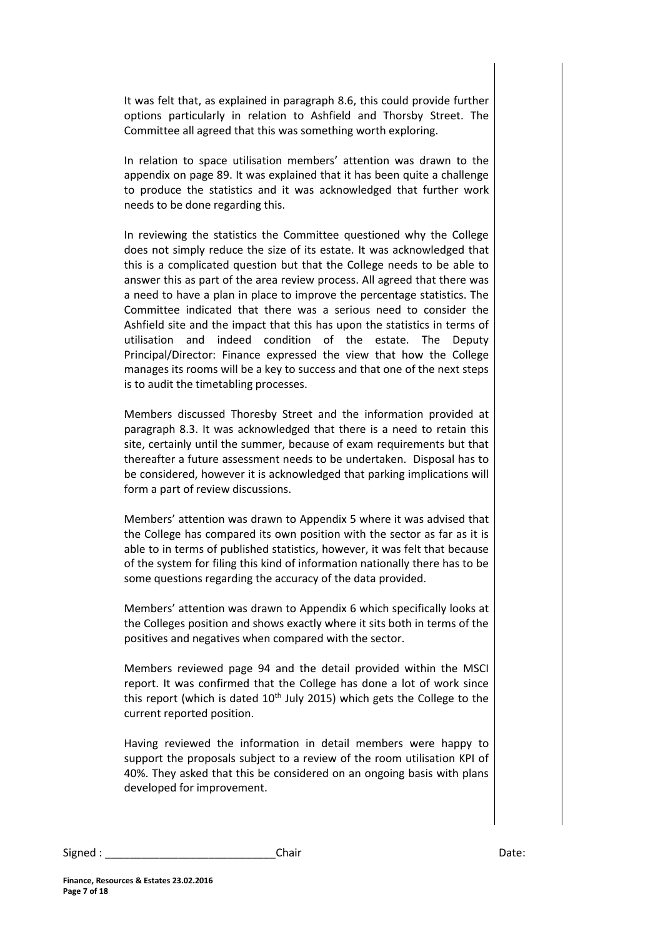It was felt that, as explained in paragraph 8.6, this could provide further options particularly in relation to Ashfield and Thorsby Street. The Committee all agreed that this was something worth exploring.

In relation to space utilisation members' attention was drawn to the appendix on page 89. It was explained that it has been quite a challenge to produce the statistics and it was acknowledged that further work needs to be done regarding this.

In reviewing the statistics the Committee questioned why the College does not simply reduce the size of its estate. It was acknowledged that this is a complicated question but that the College needs to be able to answer this as part of the area review process. All agreed that there was a need to have a plan in place to improve the percentage statistics. The Committee indicated that there was a serious need to consider the Ashfield site and the impact that this has upon the statistics in terms of utilisation and indeed condition of the estate. The Deputy Principal/Director: Finance expressed the view that how the College manages its rooms will be a key to success and that one of the next steps is to audit the timetabling processes.

Members discussed Thoresby Street and the information provided at paragraph 8.3. It was acknowledged that there is a need to retain this site, certainly until the summer, because of exam requirements but that thereafter a future assessment needs to be undertaken. Disposal has to be considered, however it is acknowledged that parking implications will form a part of review discussions.

Members' attention was drawn to Appendix 5 where it was advised that the College has compared its own position with the sector as far as it is able to in terms of published statistics, however, it was felt that because of the system for filing this kind of information nationally there has to be some questions regarding the accuracy of the data provided.

Members' attention was drawn to Appendix 6 which specifically looks at the Colleges position and shows exactly where it sits both in terms of the positives and negatives when compared with the sector.

Members reviewed page 94 and the detail provided within the MSCI report. It was confirmed that the College has done a lot of work since this report (which is dated  $10<sup>th</sup>$  July 2015) which gets the College to the current reported position.

Having reviewed the information in detail members were happy to support the proposals subject to a review of the room utilisation KPI of 40%. They asked that this be considered on an ongoing basis with plans developed for improvement.

| Signed | Chair | Date: |
|--------|-------|-------|
|--------|-------|-------|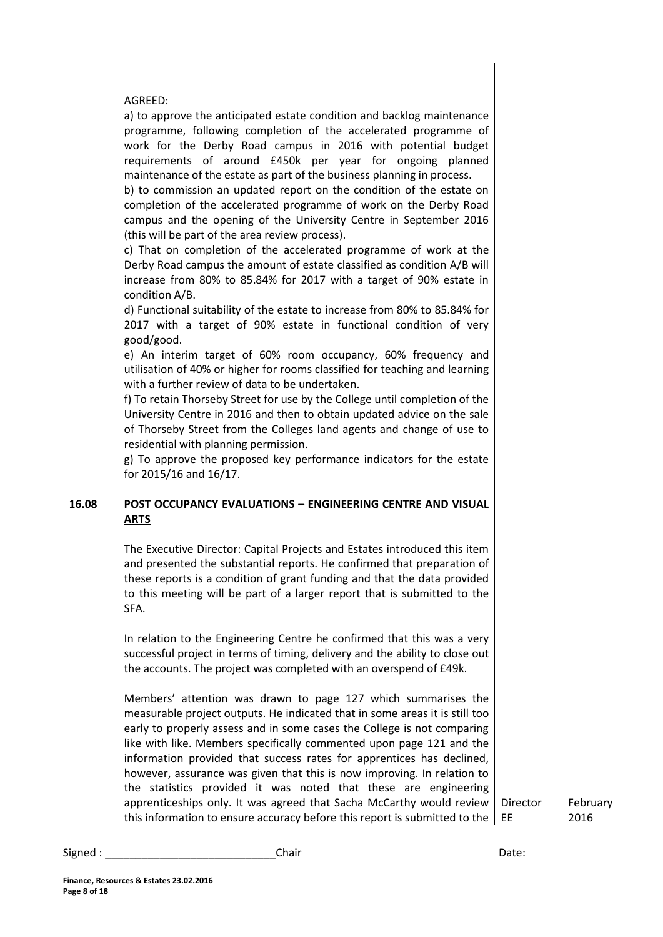AGREED:

a) to approve the anticipated estate condition and backlog maintenance programme, following completion of the accelerated programme of work for the Derby Road campus in 2016 with potential budget requirements of around £450k per year for ongoing planned maintenance of the estate as part of the business planning in process.

b) to commission an updated report on the condition of the estate on completion of the accelerated programme of work on the Derby Road campus and the opening of the University Centre in September 2016 (this will be part of the area review process).

c) That on completion of the accelerated programme of work at the Derby Road campus the amount of estate classified as condition A/B will increase from 80% to 85.84% for 2017 with a target of 90% estate in condition A/B.

d) Functional suitability of the estate to increase from 80% to 85.84% for 2017 with a target of 90% estate in functional condition of very good/good.

e) An interim target of 60% room occupancy, 60% frequency and utilisation of 40% or higher for rooms classified for teaching and learning with a further review of data to be undertaken.

f) To retain Thorseby Street for use by the College until completion of the University Centre in 2016 and then to obtain updated advice on the sale of Thorseby Street from the Colleges land agents and change of use to residential with planning permission.

g) To approve the proposed key performance indicators for the estate for 2015/16 and 16/17.

## **16.08 POST OCCUPANCY EVALUATIONS – ENGINEERING CENTRE AND VISUAL ARTS**

The Executive Director: Capital Projects and Estates introduced this item and presented the substantial reports. He confirmed that preparation of these reports is a condition of grant funding and that the data provided to this meeting will be part of a larger report that is submitted to the SFA.

In relation to the Engineering Centre he confirmed that this was a very successful project in terms of timing, delivery and the ability to close out the accounts. The project was completed with an overspend of £49k.

Members' attention was drawn to page 127 which summarises the measurable project outputs. He indicated that in some areas it is still too early to properly assess and in some cases the College is not comparing like with like. Members specifically commented upon page 121 and the information provided that success rates for apprentices has declined, however, assurance was given that this is now improving. In relation to the statistics provided it was noted that these are engineering apprenticeships only. It was agreed that Sacha McCarthy would review this information to ensure accuracy before this report is submitted to the EE

February 2016

Signed : \_\_\_\_\_\_\_\_\_\_\_\_\_\_\_\_\_\_\_\_\_\_\_\_\_\_\_\_Chair Date:

Director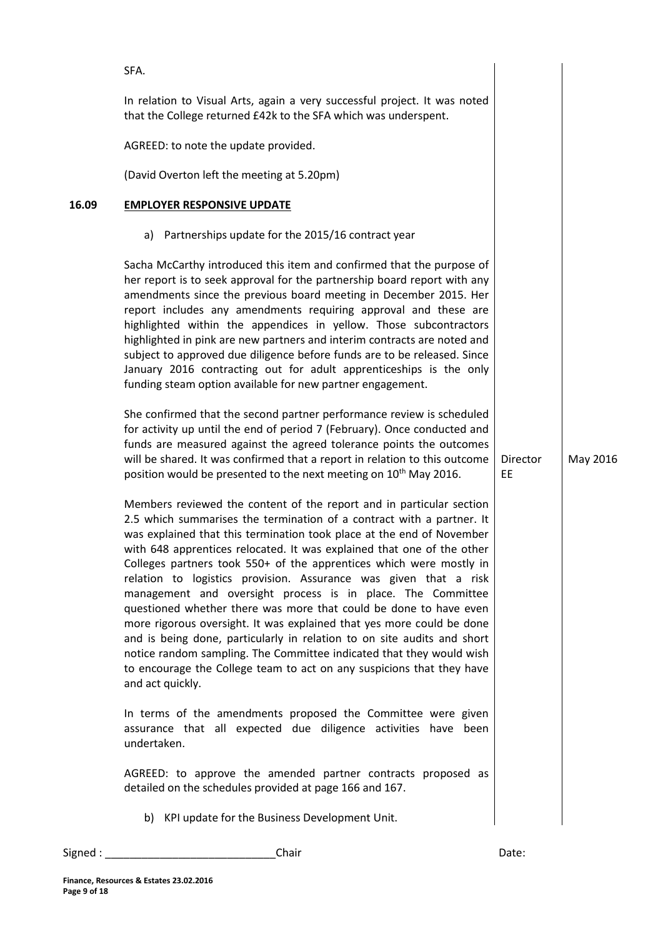| Signed : | Chair                                                                                                                                                                                                                                                                                                                                                                                                                                                                                                                                                                                                                                                                                                                                                                                                                                                                                                                                                                                                                                                                                                                                                                                                                      | Date:          |          |
|----------|----------------------------------------------------------------------------------------------------------------------------------------------------------------------------------------------------------------------------------------------------------------------------------------------------------------------------------------------------------------------------------------------------------------------------------------------------------------------------------------------------------------------------------------------------------------------------------------------------------------------------------------------------------------------------------------------------------------------------------------------------------------------------------------------------------------------------------------------------------------------------------------------------------------------------------------------------------------------------------------------------------------------------------------------------------------------------------------------------------------------------------------------------------------------------------------------------------------------------|----------------|----------|
|          | b) KPI update for the Business Development Unit.                                                                                                                                                                                                                                                                                                                                                                                                                                                                                                                                                                                                                                                                                                                                                                                                                                                                                                                                                                                                                                                                                                                                                                           |                |          |
|          | AGREED: to approve the amended partner contracts proposed as<br>detailed on the schedules provided at page 166 and 167.                                                                                                                                                                                                                                                                                                                                                                                                                                                                                                                                                                                                                                                                                                                                                                                                                                                                                                                                                                                                                                                                                                    |                |          |
|          | In terms of the amendments proposed the Committee were given<br>assurance that all expected due diligence activities have been<br>undertaken.                                                                                                                                                                                                                                                                                                                                                                                                                                                                                                                                                                                                                                                                                                                                                                                                                                                                                                                                                                                                                                                                              |                |          |
|          | for activity up until the end of period 7 (February). Once conducted and<br>funds are measured against the agreed tolerance points the outcomes<br>will be shared. It was confirmed that a report in relation to this outcome<br>position would be presented to the next meeting on 10 <sup>th</sup> May 2016.<br>Members reviewed the content of the report and in particular section<br>2.5 which summarises the termination of a contract with a partner. It<br>was explained that this termination took place at the end of November<br>with 648 apprentices relocated. It was explained that one of the other<br>Colleges partners took 550+ of the apprentices which were mostly in<br>relation to logistics provision. Assurance was given that a risk<br>management and oversight process is in place. The Committee<br>questioned whether there was more that could be done to have even<br>more rigorous oversight. It was explained that yes more could be done<br>and is being done, particularly in relation to on site audits and short<br>notice random sampling. The Committee indicated that they would wish<br>to encourage the College team to act on any suspicions that they have<br>and act quickly. | Director<br>EE | May 2016 |
|          | a) Partnerships update for the 2015/16 contract year<br>Sacha McCarthy introduced this item and confirmed that the purpose of<br>her report is to seek approval for the partnership board report with any<br>amendments since the previous board meeting in December 2015. Her<br>report includes any amendments requiring approval and these are<br>highlighted within the appendices in yellow. Those subcontractors<br>highlighted in pink are new partners and interim contracts are noted and<br>subject to approved due diligence before funds are to be released. Since<br>January 2016 contracting out for adult apprenticeships is the only<br>funding steam option available for new partner engagement.<br>She confirmed that the second partner performance review is scheduled                                                                                                                                                                                                                                                                                                                                                                                                                                |                |          |
| 16.09    | <b>EMPLOYER RESPONSIVE UPDATE</b>                                                                                                                                                                                                                                                                                                                                                                                                                                                                                                                                                                                                                                                                                                                                                                                                                                                                                                                                                                                                                                                                                                                                                                                          |                |          |
|          | (David Overton left the meeting at 5.20pm)                                                                                                                                                                                                                                                                                                                                                                                                                                                                                                                                                                                                                                                                                                                                                                                                                                                                                                                                                                                                                                                                                                                                                                                 |                |          |
|          | AGREED: to note the update provided.                                                                                                                                                                                                                                                                                                                                                                                                                                                                                                                                                                                                                                                                                                                                                                                                                                                                                                                                                                                                                                                                                                                                                                                       |                |          |
|          | In relation to Visual Arts, again a very successful project. It was noted<br>that the College returned £42k to the SFA which was underspent.                                                                                                                                                                                                                                                                                                                                                                                                                                                                                                                                                                                                                                                                                                                                                                                                                                                                                                                                                                                                                                                                               |                |          |
|          | SFA.                                                                                                                                                                                                                                                                                                                                                                                                                                                                                                                                                                                                                                                                                                                                                                                                                                                                                                                                                                                                                                                                                                                                                                                                                       |                |          |

**Finance, Resources & Estates 23.02.2016**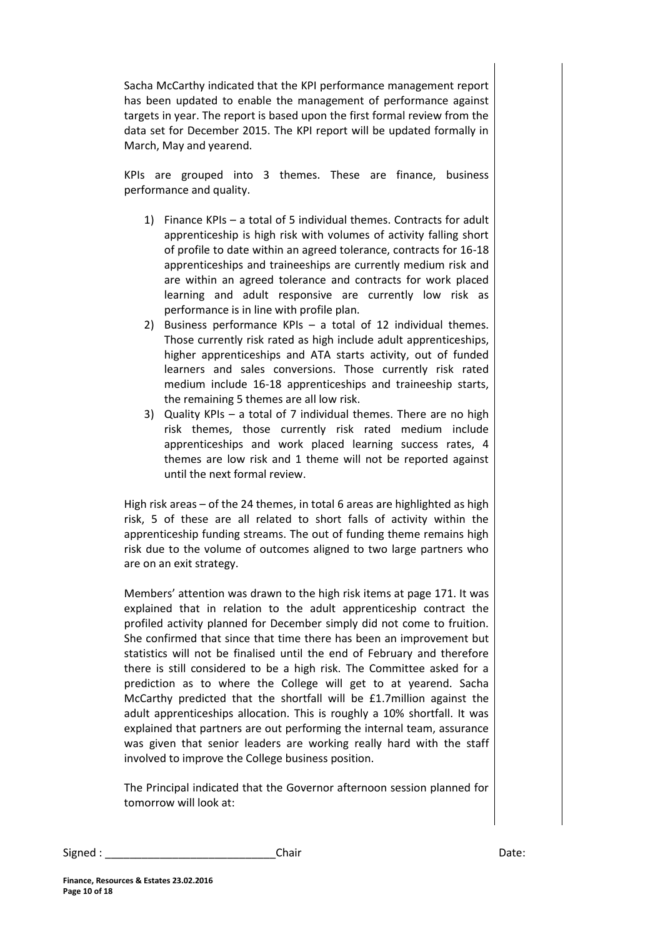Sacha McCarthy indicated that the KPI performance management report has been updated to enable the management of performance against targets in year. The report is based upon the first formal review from the data set for December 2015. The KPI report will be updated formally in March, May and yearend.

KPIs are grouped into 3 themes. These are finance, business performance and quality.

- 1) Finance KPIs a total of 5 individual themes. Contracts for adult apprenticeship is high risk with volumes of activity falling short of profile to date within an agreed tolerance, contracts for 16-18 apprenticeships and traineeships are currently medium risk and are within an agreed tolerance and contracts for work placed learning and adult responsive are currently low risk as performance is in line with profile plan.
- 2) Business performance KPIs a total of 12 individual themes. Those currently risk rated as high include adult apprenticeships, higher apprenticeships and ATA starts activity, out of funded learners and sales conversions. Those currently risk rated medium include 16-18 apprenticeships and traineeship starts, the remaining 5 themes are all low risk.
- 3) Quality KPIs a total of 7 individual themes. There are no high risk themes, those currently risk rated medium include apprenticeships and work placed learning success rates, 4 themes are low risk and 1 theme will not be reported against until the next formal review.

High risk areas – of the 24 themes, in total 6 areas are highlighted as high risk, 5 of these are all related to short falls of activity within the apprenticeship funding streams. The out of funding theme remains high risk due to the volume of outcomes aligned to two large partners who are on an exit strategy.

Members' attention was drawn to the high risk items at page 171. It was explained that in relation to the adult apprenticeship contract the profiled activity planned for December simply did not come to fruition. She confirmed that since that time there has been an improvement but statistics will not be finalised until the end of February and therefore there is still considered to be a high risk. The Committee asked for a prediction as to where the College will get to at yearend. Sacha McCarthy predicted that the shortfall will be £1.7million against the adult apprenticeships allocation. This is roughly a 10% shortfall. It was explained that partners are out performing the internal team, assurance was given that senior leaders are working really hard with the staff involved to improve the College business position.

The Principal indicated that the Governor afternoon session planned for tomorrow will look at: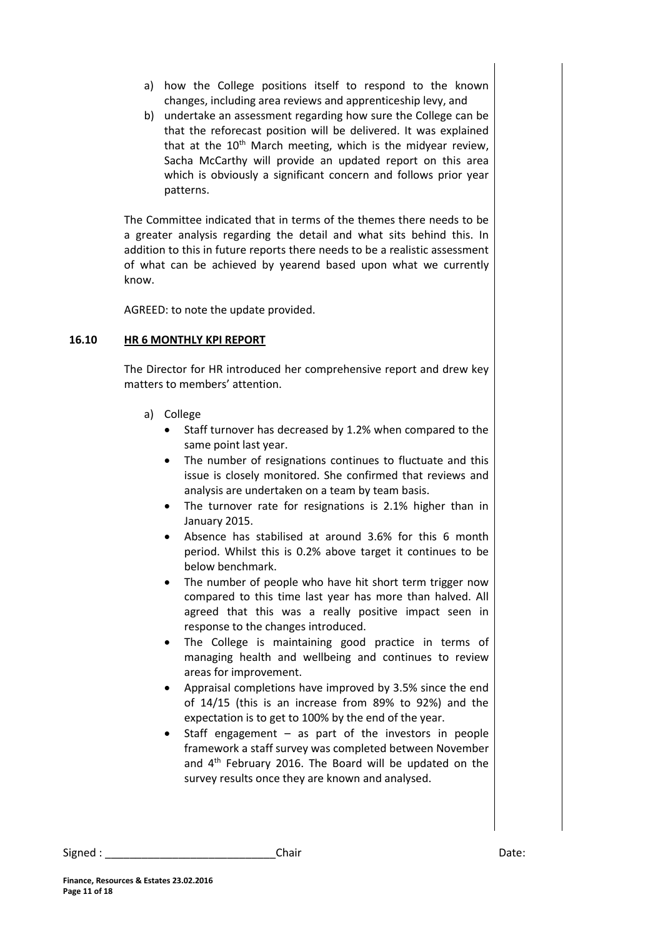- a) how the College positions itself to respond to the known changes, including area reviews and apprenticeship levy, and
- b) undertake an assessment regarding how sure the College can be that the reforecast position will be delivered. It was explained that at the  $10<sup>th</sup>$  March meeting, which is the midyear review, Sacha McCarthy will provide an updated report on this area which is obviously a significant concern and follows prior year patterns.

The Committee indicated that in terms of the themes there needs to be a greater analysis regarding the detail and what sits behind this. In addition to this in future reports there needs to be a realistic assessment of what can be achieved by yearend based upon what we currently know.

AGREED: to note the update provided.

## **16.10 HR 6 MONTHLY KPI REPORT**

The Director for HR introduced her comprehensive report and drew key matters to members' attention.

- a) College
	- Staff turnover has decreased by 1.2% when compared to the same point last year.
	- The number of resignations continues to fluctuate and this issue is closely monitored. She confirmed that reviews and analysis are undertaken on a team by team basis.
	- The turnover rate for resignations is 2.1% higher than in January 2015.
	- Absence has stabilised at around 3.6% for this 6 month period. Whilst this is 0.2% above target it continues to be below benchmark.
	- The number of people who have hit short term trigger now compared to this time last year has more than halved. All agreed that this was a really positive impact seen in response to the changes introduced.
	- The College is maintaining good practice in terms of managing health and wellbeing and continues to review areas for improvement.
	- Appraisal completions have improved by 3.5% since the end of 14/15 (this is an increase from 89% to 92%) and the expectation is to get to 100% by the end of the year.
	- Staff engagement  $-$  as part of the investors in people framework a staff survey was completed between November and 4th February 2016. The Board will be updated on the survey results once they are known and analysed.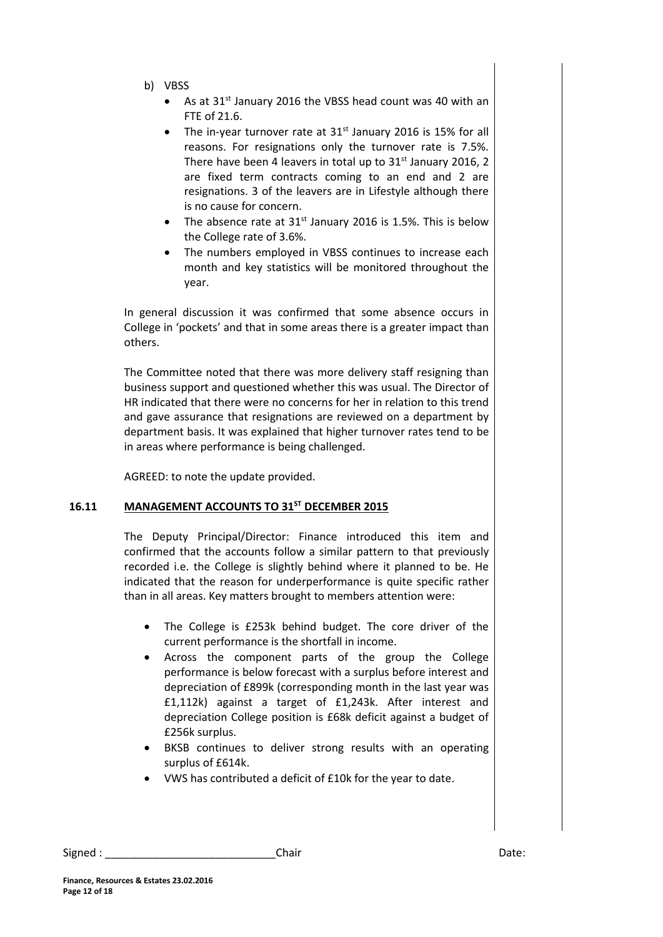- b) VBSS
	- As at 31<sup>st</sup> January 2016 the VBSS head count was 40 with an FTE of 21.6.
	- The in-year turnover rate at  $31<sup>st</sup>$  January 2016 is 15% for all reasons. For resignations only the turnover rate is 7.5%. There have been 4 leavers in total up to  $31<sup>st</sup>$  January 2016, 2 are fixed term contracts coming to an end and 2 are resignations. 3 of the leavers are in Lifestyle although there is no cause for concern.
	- The absence rate at  $31<sup>st</sup>$  January 2016 is 1.5%. This is below the College rate of 3.6%.
	- The numbers employed in VBSS continues to increase each month and key statistics will be monitored throughout the year.

In general discussion it was confirmed that some absence occurs in College in 'pockets' and that in some areas there is a greater impact than others.

The Committee noted that there was more delivery staff resigning than business support and questioned whether this was usual. The Director of HR indicated that there were no concerns for her in relation to this trend and gave assurance that resignations are reviewed on a department by department basis. It was explained that higher turnover rates tend to be in areas where performance is being challenged.

AGREED: to note the update provided.

## **16.11 MANAGEMENT ACCOUNTS TO 31ST DECEMBER 2015**

The Deputy Principal/Director: Finance introduced this item and confirmed that the accounts follow a similar pattern to that previously recorded i.e. the College is slightly behind where it planned to be. He indicated that the reason for underperformance is quite specific rather than in all areas. Key matters brought to members attention were:

- The College is £253k behind budget. The core driver of the current performance is the shortfall in income.
- Across the component parts of the group the College performance is below forecast with a surplus before interest and depreciation of £899k (corresponding month in the last year was £1,112k) against a target of £1,243k. After interest and depreciation College position is £68k deficit against a budget of £256k surplus.
- BKSB continues to deliver strong results with an operating surplus of £614k.
- VWS has contributed a deficit of £10k for the year to date.

Signed : \_\_\_\_\_\_\_\_\_\_\_\_\_\_\_\_\_\_\_\_\_\_\_\_\_\_\_\_Chair Date: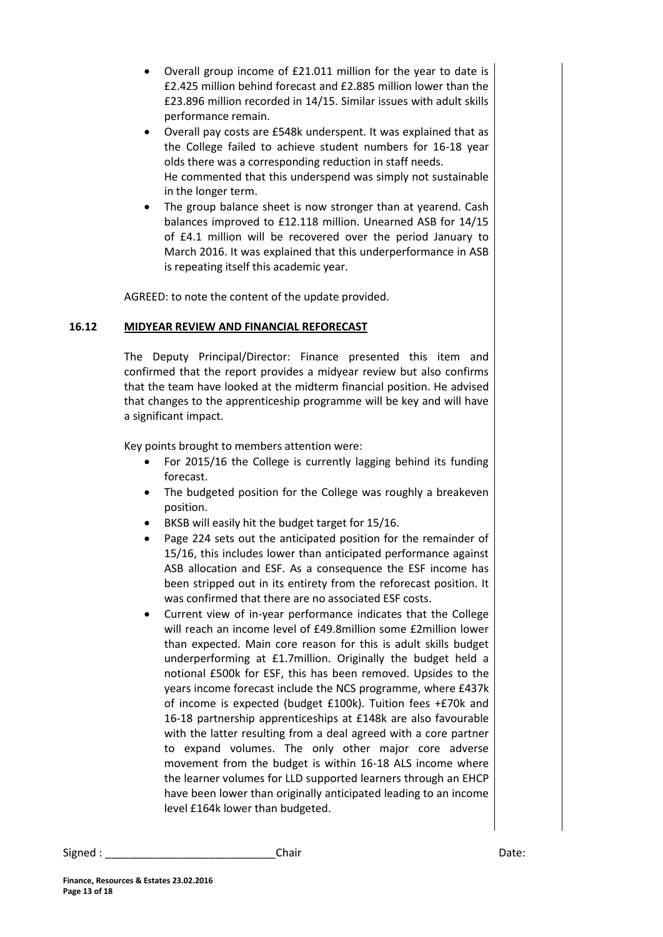- Overall group income of £21.011 million for the year to date is £2.425 million behind forecast and £2.885 million lower than the £23.896 million recorded in 14/15. Similar issues with adult skills performance remain.
- Overall pay costs are £548k underspent. It was explained that as the College failed to achieve student numbers for 16-18 year olds there was a corresponding reduction in staff needs. He commented that this underspend was simply not sustainable in the longer term.
- The group balance sheet is now stronger than at yearend. Cash balances improved to £12.118 million. Unearned ASB for 14/15 of £4.1 million will be recovered over the period January to March 2016. It was explained that this underperformance in ASB is repeating itself this academic year.

AGREED: to note the content of the update provided.

## **16.12 MIDYEAR REVIEW AND FINANCIAL REFORECAST**

The Deputy Principal/Director: Finance presented this item and confirmed that the report provides a midyear review but also confirms that the team have looked at the midterm financial position. He advised that changes to the apprenticeship programme will be key and will have a significant impact.

Key points brought to members attention were:

- For 2015/16 the College is currently lagging behind its funding forecast.
- The budgeted position for the College was roughly a breakeven position.
- BKSB will easily hit the budget target for 15/16.
- Page 224 sets out the anticipated position for the remainder of 15/16, this includes lower than anticipated performance against ASB allocation and ESF. As a consequence the ESF income has been stripped out in its entirety from the reforecast position. It was confirmed that there are no associated ESF costs.
- Current view of in-year performance indicates that the College will reach an income level of £49.8million some £2million lower than expected. Main core reason for this is adult skills budget underperforming at £1.7million. Originally the budget held a notional £500k for ESF, this has been removed. Upsides to the years income forecast include the NCS programme, where £437k of income is expected (budget £100k). Tuition fees +£70k and 16-18 partnership apprenticeships at £148k are also favourable with the latter resulting from a deal agreed with a core partner to expand volumes. The only other major core adverse movement from the budget is within 16-18 ALS income where the learner volumes for LLD supported learners through an EHCP have been lower than originally anticipated leading to an income level £164k lower than budgeted.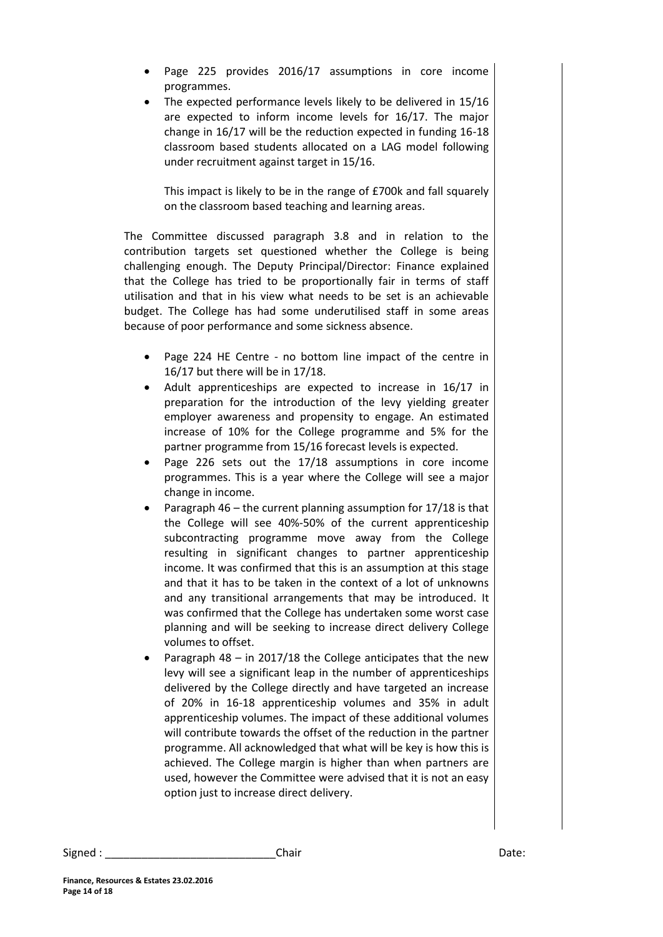- Page 225 provides 2016/17 assumptions in core income programmes.
- The expected performance levels likely to be delivered in 15/16 are expected to inform income levels for 16/17. The major change in 16/17 will be the reduction expected in funding 16-18 classroom based students allocated on a LAG model following under recruitment against target in 15/16.

This impact is likely to be in the range of £700k and fall squarely on the classroom based teaching and learning areas.

The Committee discussed paragraph 3.8 and in relation to the contribution targets set questioned whether the College is being challenging enough. The Deputy Principal/Director: Finance explained that the College has tried to be proportionally fair in terms of staff utilisation and that in his view what needs to be set is an achievable budget. The College has had some underutilised staff in some areas because of poor performance and some sickness absence.

- Page 224 HE Centre no bottom line impact of the centre in 16/17 but there will be in 17/18.
- Adult apprenticeships are expected to increase in 16/17 in preparation for the introduction of the levy yielding greater employer awareness and propensity to engage. An estimated increase of 10% for the College programme and 5% for the partner programme from 15/16 forecast levels is expected.
- Page 226 sets out the 17/18 assumptions in core income programmes. This is a year where the College will see a major change in income.
- Paragraph 46 the current planning assumption for 17/18 is that the College will see 40%-50% of the current apprenticeship subcontracting programme move away from the College resulting in significant changes to partner apprenticeship income. It was confirmed that this is an assumption at this stage and that it has to be taken in the context of a lot of unknowns and any transitional arrangements that may be introduced. It was confirmed that the College has undertaken some worst case planning and will be seeking to increase direct delivery College volumes to offset.
- Paragraph 48 in 2017/18 the College anticipates that the new levy will see a significant leap in the number of apprenticeships delivered by the College directly and have targeted an increase of 20% in 16-18 apprenticeship volumes and 35% in adult apprenticeship volumes. The impact of these additional volumes will contribute towards the offset of the reduction in the partner programme. All acknowledged that what will be key is how this is achieved. The College margin is higher than when partners are used, however the Committee were advised that it is not an easy option just to increase direct delivery.

Signed : \_\_\_\_\_\_\_\_\_\_\_\_\_\_\_\_\_\_\_\_\_\_\_\_\_\_\_\_\_\_\_\_\_Chair \_\_\_\_\_\_\_\_\_\_\_\_\_\_\_\_\_\_\_\_\_\_\_\_\_\_\_\_\_\_\_\_Date: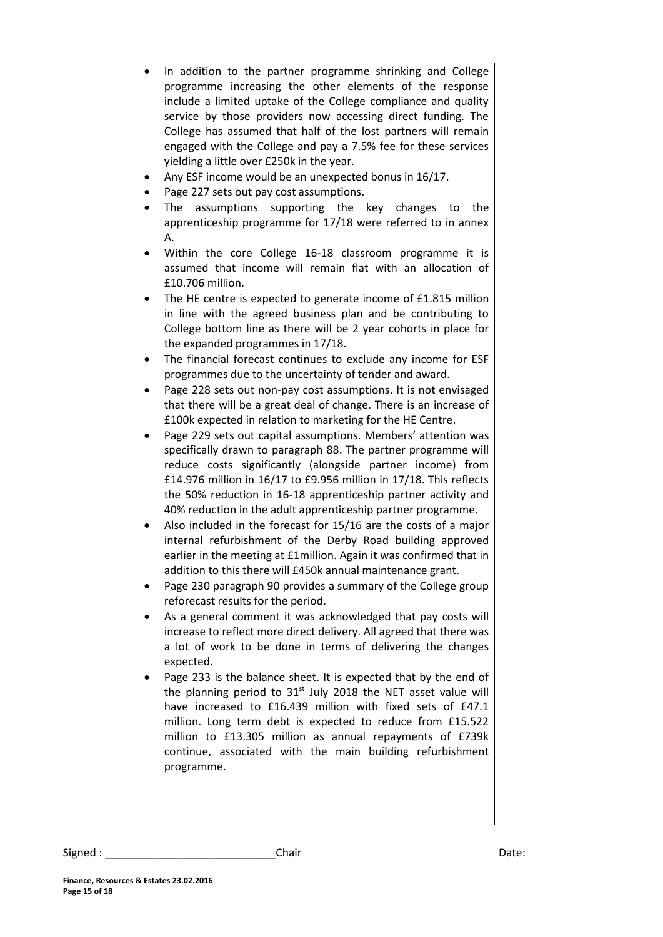- In addition to the partner programme shrinking and College programme increasing the other elements of the response include a limited uptake of the College compliance and quality service by those providers now accessing direct funding. The College has assumed that half of the lost partners will remain engaged with the College and pay a 7.5% fee for these services yielding a little over £250k in the year.
- Any ESF income would be an unexpected bonus in 16/17.
- Page 227 sets out pay cost assumptions.
- The assumptions supporting the key changes to the apprenticeship programme for 17/18 were referred to in annex A.
- Within the core College 16-18 classroom programme it is assumed that income will remain flat with an allocation of £10.706 million.
- The HE centre is expected to generate income of £1.815 million in line with the agreed business plan and be contributing to College bottom line as there will be 2 year cohorts in place for the expanded programmes in 17/18.
- The financial forecast continues to exclude any income for ESF programmes due to the uncertainty of tender and award.
- Page 228 sets out non-pay cost assumptions. It is not envisaged that there will be a great deal of change. There is an increase of £100k expected in relation to marketing for the HE Centre.
- Page 229 sets out capital assumptions. Members' attention was specifically drawn to paragraph 88. The partner programme will reduce costs significantly (alongside partner income) from £14.976 million in 16/17 to £9.956 million in 17/18. This reflects the 50% reduction in 16-18 apprenticeship partner activity and 40% reduction in the adult apprenticeship partner programme.
- Also included in the forecast for 15/16 are the costs of a major internal refurbishment of the Derby Road building approved earlier in the meeting at £1million. Again it was confirmed that in addition to this there will £450k annual maintenance grant.
- Page 230 paragraph 90 provides a summary of the College group reforecast results for the period.
- As a general comment it was acknowledged that pay costs will increase to reflect more direct delivery. All agreed that there was a lot of work to be done in terms of delivering the changes expected.
- Page 233 is the balance sheet. It is expected that by the end of the planning period to  $31<sup>st</sup>$  July 2018 the NET asset value will have increased to £16.439 million with fixed sets of £47.1 million. Long term debt is expected to reduce from £15.522 million to £13.305 million as annual repayments of £739k continue, associated with the main building refurbishment programme.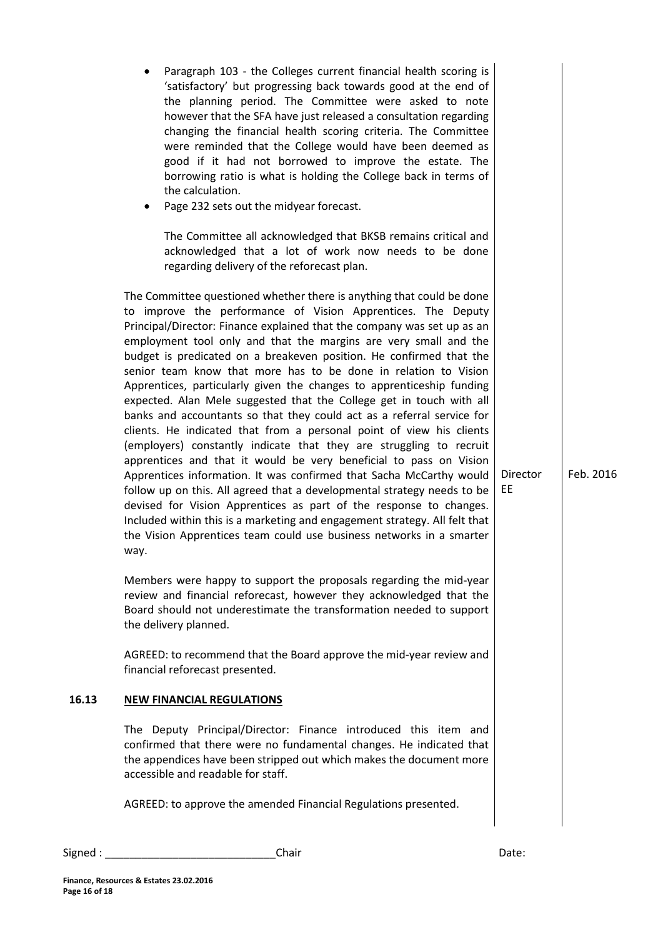|       | Paragraph 103 - the Colleges current financial health scoring is<br>'satisfactory' but progressing back towards good at the end of<br>the planning period. The Committee were asked to note<br>however that the SFA have just released a consultation regarding<br>changing the financial health scoring criteria. The Committee<br>were reminded that the College would have been deemed as<br>good if it had not borrowed to improve the estate. The<br>borrowing ratio is what is holding the College back in terms of<br>the calculation.<br>Page 232 sets out the midyear forecast.<br>$\bullet$<br>The Committee all acknowledged that BKSB remains critical and<br>acknowledged that a lot of work now needs to be done<br>regarding delivery of the reforecast plan.                                                                                                                                                                                                                                                                                                                                                                                                                                                                                         |                       |           |
|-------|----------------------------------------------------------------------------------------------------------------------------------------------------------------------------------------------------------------------------------------------------------------------------------------------------------------------------------------------------------------------------------------------------------------------------------------------------------------------------------------------------------------------------------------------------------------------------------------------------------------------------------------------------------------------------------------------------------------------------------------------------------------------------------------------------------------------------------------------------------------------------------------------------------------------------------------------------------------------------------------------------------------------------------------------------------------------------------------------------------------------------------------------------------------------------------------------------------------------------------------------------------------------|-----------------------|-----------|
|       | The Committee questioned whether there is anything that could be done<br>to improve the performance of Vision Apprentices. The Deputy<br>Principal/Director: Finance explained that the company was set up as an<br>employment tool only and that the margins are very small and the<br>budget is predicated on a breakeven position. He confirmed that the<br>senior team know that more has to be done in relation to Vision<br>Apprentices, particularly given the changes to apprenticeship funding<br>expected. Alan Mele suggested that the College get in touch with all<br>banks and accountants so that they could act as a referral service for<br>clients. He indicated that from a personal point of view his clients<br>(employers) constantly indicate that they are struggling to recruit<br>apprentices and that it would be very beneficial to pass on Vision<br>Apprentices information. It was confirmed that Sacha McCarthy would<br>follow up on this. All agreed that a developmental strategy needs to be<br>devised for Vision Apprentices as part of the response to changes.<br>Included within this is a marketing and engagement strategy. All felt that<br>the Vision Apprentices team could use business networks in a smarter<br>way. | <b>Director</b><br>EE | Feb. 2016 |
|       | Members were happy to support the proposals regarding the mid-year<br>review and financial reforecast, however they acknowledged that the<br>Board should not underestimate the transformation needed to support<br>the delivery planned.                                                                                                                                                                                                                                                                                                                                                                                                                                                                                                                                                                                                                                                                                                                                                                                                                                                                                                                                                                                                                            |                       |           |
|       | AGREED: to recommend that the Board approve the mid-year review and<br>financial reforecast presented.                                                                                                                                                                                                                                                                                                                                                                                                                                                                                                                                                                                                                                                                                                                                                                                                                                                                                                                                                                                                                                                                                                                                                               |                       |           |
| 16.13 | <b>NEW FINANCIAL REGULATIONS</b>                                                                                                                                                                                                                                                                                                                                                                                                                                                                                                                                                                                                                                                                                                                                                                                                                                                                                                                                                                                                                                                                                                                                                                                                                                     |                       |           |
|       | The Deputy Principal/Director: Finance introduced this item and<br>confirmed that there were no fundamental changes. He indicated that<br>the appendices have been stripped out which makes the document more<br>accessible and readable for staff.                                                                                                                                                                                                                                                                                                                                                                                                                                                                                                                                                                                                                                                                                                                                                                                                                                                                                                                                                                                                                  |                       |           |
|       | AGREED: to approve the amended Financial Regulations presented.                                                                                                                                                                                                                                                                                                                                                                                                                                                                                                                                                                                                                                                                                                                                                                                                                                                                                                                                                                                                                                                                                                                                                                                                      |                       |           |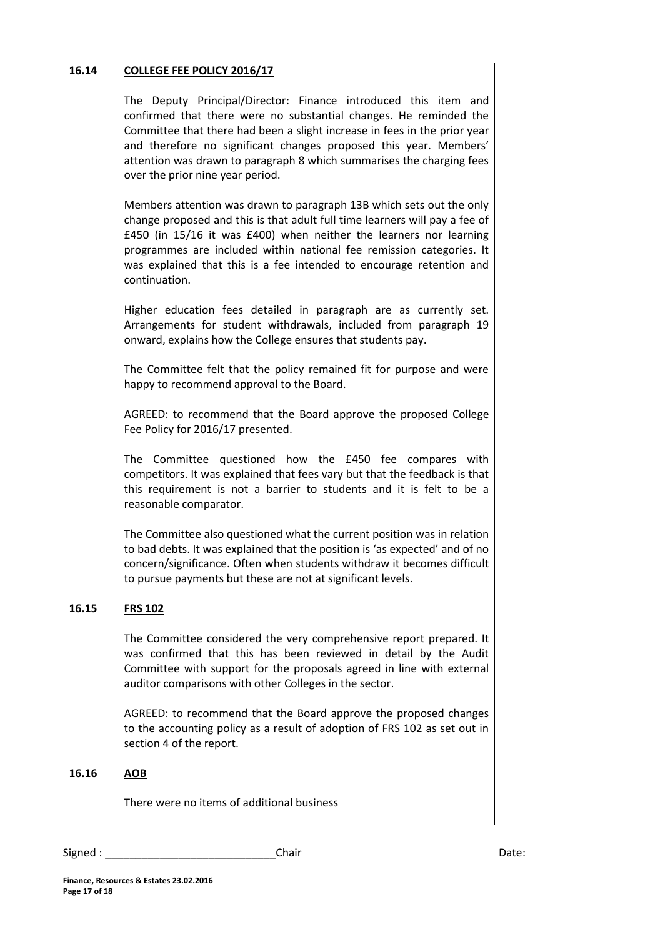### **16.14 COLLEGE FEE POLICY 2016/17**

The Deputy Principal/Director: Finance introduced this item and confirmed that there were no substantial changes. He reminded the Committee that there had been a slight increase in fees in the prior year and therefore no significant changes proposed this year. Members' attention was drawn to paragraph 8 which summarises the charging fees over the prior nine year period.

Members attention was drawn to paragraph 13B which sets out the only change proposed and this is that adult full time learners will pay a fee of £450 (in 15/16 it was £400) when neither the learners nor learning programmes are included within national fee remission categories. It was explained that this is a fee intended to encourage retention and continuation.

Higher education fees detailed in paragraph are as currently set. Arrangements for student withdrawals, included from paragraph 19 onward, explains how the College ensures that students pay.

The Committee felt that the policy remained fit for purpose and were happy to recommend approval to the Board.

AGREED: to recommend that the Board approve the proposed College Fee Policy for 2016/17 presented.

The Committee questioned how the £450 fee compares with competitors. It was explained that fees vary but that the feedback is that this requirement is not a barrier to students and it is felt to be a reasonable comparator.

The Committee also questioned what the current position was in relation to bad debts. It was explained that the position is 'as expected' and of no concern/significance. Often when students withdraw it becomes difficult to pursue payments but these are not at significant levels.

#### **16.15 FRS 102**

The Committee considered the very comprehensive report prepared. It was confirmed that this has been reviewed in detail by the Audit Committee with support for the proposals agreed in line with external auditor comparisons with other Colleges in the sector.

AGREED: to recommend that the Board approve the proposed changes to the accounting policy as a result of adoption of FRS 102 as set out in section 4 of the report.

#### **16.16 AOB**

There were no items of additional business